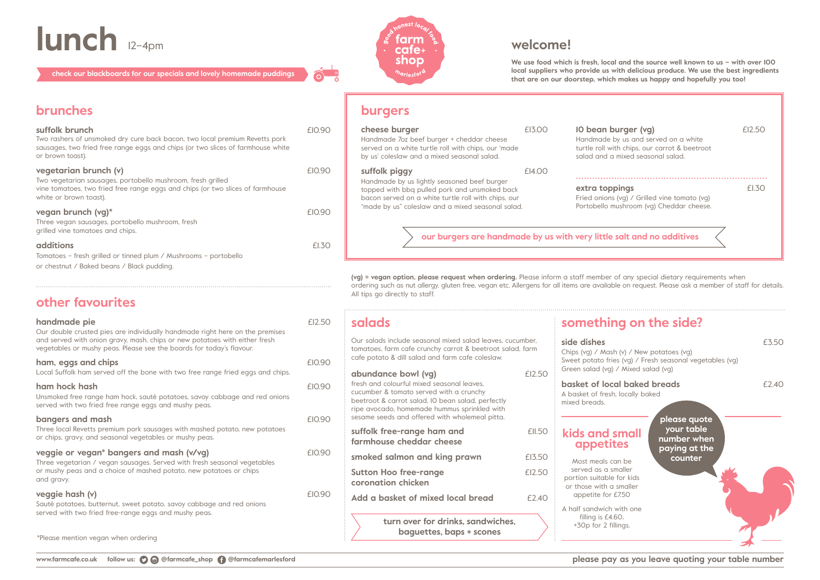**We use food which is fresh, local and the source well known to us – with over 100 local suppliers who provide us with delicious produce. We use the best ingredients that are on our doorstep, which makes us happy and hopefully you too!**

| 10 bean burger (vg)<br>Handmade by us and served on a white<br>turtle roll with chips, our carrot & beetroot<br>salad and a mixed seasonal salad.                                    | £12.50 |
|--------------------------------------------------------------------------------------------------------------------------------------------------------------------------------------|--------|
| extra toppings<br>Fried onions (vg) / Grilled vine tomato (vg)<br>Portobello mushroom (vg) Cheddar cheese.                                                                           | £1.30  |
| ith very little salt and no additives                                                                                                                                                |        |
| a staff member of any special dietary requirements when<br>items are available on request. Please ask a member of staff for details.<br>something on the side?                       |        |
| side dishes<br>Chips (vg) / Mash (v) / New potatoes (vg)<br>Sweet potato fries (vg) / Fresh seasonal vegetables (vg)<br>Green salad (vg) / Mixed salad (vg)                          | £3.50  |
| basket of local baked breads<br>A basket of fresh, locally baked<br>mixed breads.                                                                                                    | £2.40  |
| please quote<br>your table<br>kids and small<br>number when<br><b>appetites</b><br>paying at the<br>counter<br>Most meals can be<br>served as a smaller<br>portion suitable for kids |        |
| or those with a smaller                                                                                                                                                              |        |

\*Please mention vegan when ordering

### **burgers**

Three local Revetts premium pork sausages with mashed potato, new potatoes or chips, gravy, and seasonal vegetables or mushy peas.

### **veggie or vegan\* bangers and mash (v/vg) EIO.9**

**(vg) = vegan option, please request when ordering.** Please inform a staff member of ordering such as nut allergy, gluten free, vegan etc. Allergens for all items are available All tips go directly to staff.

| .90         | cheese burger<br>Handmade 7oz beef burger + cheddar cheese<br>served on a white turtle roll with chips, our 'made<br>by us' coleslaw and a mixed seasonal salad. | £13.00 | 10 bean burger (vg)<br>Handmade by us and served on a whit<br>turtle roll with chips, our carrot & beet<br>salad and a mixed seasonal salad. |
|-------------|------------------------------------------------------------------------------------------------------------------------------------------------------------------|--------|----------------------------------------------------------------------------------------------------------------------------------------------|
| .90         | suffolk piggy                                                                                                                                                    | £14.00 |                                                                                                                                              |
|             | Handmade by us lightly seasoned beef burger<br>topped with bbq pulled pork and unsmoked back                                                                     |        | extra toppings                                                                                                                               |
|             | bacon served on a white turtle roll with chips, our                                                                                                              |        | Fried onions (vg) / Grilled vine tomato                                                                                                      |
| .90         | "made by us" coleslaw and a mixed seasonal salad.                                                                                                                |        | Portobello mushroom (vg) Cheddar che                                                                                                         |
|             |                                                                                                                                                                  |        |                                                                                                                                              |
| <b>1.30</b> |                                                                                                                                                                  |        | our burgers are handmade by us with very little salt and no additives                                                                        |
|             |                                                                                                                                                                  |        |                                                                                                                                              |

# **lunch** 12–4pm **s**  $s^3$  **farm**  $s^3$  **welcome!**<br> **lunch** 12–4pm **welcome!**

**check our blackboards for our specials and lovely homemade puddings**



### **other favourites**

### **handmade pie handmade pie** *£12.50*

| $\overline{O}$ | salads                                                                                                                                                                                                                                       |               | somethin                                                     |
|----------------|----------------------------------------------------------------------------------------------------------------------------------------------------------------------------------------------------------------------------------------------|---------------|--------------------------------------------------------------|
| $\overline{O}$ | Our salads include seasonal mixed salad leaves, cucumber,<br>tomatoes, farm cafe crunchy carrot & beetroot salad, farm<br>cafe potato & dill salad and farm cafe coleslaw.                                                                   |               | side dishes<br>Chips (vg) / Mash<br>Sweet potato fries       |
|                | abundance bowl (vg)                                                                                                                                                                                                                          | £12.50        | Green salad (vg) /                                           |
| $\overline{O}$ | fresh and colourful mixed seasonal leaves,<br>cucumber & tomato served with a crunchy<br>beetroot & carrot salad, IO bean salad, perfectly<br>ripe avocado, homemade hummus sprinkled with<br>sesame seeds and offered with wholemeal pitta. |               | basket of local<br>A basket of fresh, I<br>mixed breads.     |
| $\overline{O}$ | suffolk free-range ham and<br>farmhouse cheddar cheese                                                                                                                                                                                       | <b>£11.50</b> | kids and si<br>appetite                                      |
| $\overline{O}$ | smoked salmon and king prawn                                                                                                                                                                                                                 | £13.50        | Most meals car                                               |
|                | <b>Sutton Hoo free-range</b><br>coronation chicken                                                                                                                                                                                           | £12.50        | served as a smo<br>portion suitable fo<br>or those with a si |
| $\overline{O}$ | Add a basket of mixed local bread                                                                                                                                                                                                            | £2.40         | appetite for £7                                              |
|                |                                                                                                                                                                                                                                              |               | A half sandwich w<br>filling is £4.60                        |
|                | turn over for drinks, sandwiches,<br>baguettes, baps + scones                                                                                                                                                                                |               | +30p for 2 fillir                                            |

### (va) / Mash

### **based b** et of fresh, local

### **k** and st **ppetite**

st meals can ved as a sma on suitable fo ose with a sn petite for £7.50

sandwich with one filling is £4.60. Op for 2 fillings.

Our double crusted pies are individually handmade right here on the premises and served with onion gravy, mash, chips or new potatoes with either fresh vegetables or mushy peas. Please see the boards for today's flavour.

### **ham, eggs and chips ham, eggs and chips** *£10.900*

Local Suffolk ham served off the bone with two free range fried eggs and chips.

### **ham hock hash** £10.90

Unsmoked free range ham hock, sauté potatoes, savoy cabbage and red onions served with two fried free range eggs and mushy peas.

### **bangers and mash**   $E10.90$

Three vegetarian / vegan sausages. Served with fresh seasonal vegetables or mushy peas and a choice of mashed potato, new potatoes or chips and gravy.

### **veggie hash (v)**  $E10.90$

Sauté potatoes, butternut, sweet potato, savoy cabbage and red onions served with two fried free-range eggs and mushy peas.

Two rashers of unsmoked dry cure back bacon, two local premium Revetts pork sausages, two fried free range eggs and chips (or two slices of farmhouse white or brown toast).

### **vegetarian brunch (v)**  $E10$ .

Two vegetarian sausages, portobello mushroom, fresh grilled vine tomatoes, two fried free range eggs and chips (or two slices of farmhouse white or brown toast).

#### **vegan brunch (vg)\***  $\leq$  **EIO.900**

Three vegan sausages, portobello mushroom, fresh grilled vine tomatoes and chips.

### **additions** £1.30

Tomatoes – fresh grilled or tinned plum / Mushrooms – portobello or chestnut / Baked beans / Black pudding.

### **brunches**

### **suffolk brunch**  $EIO$